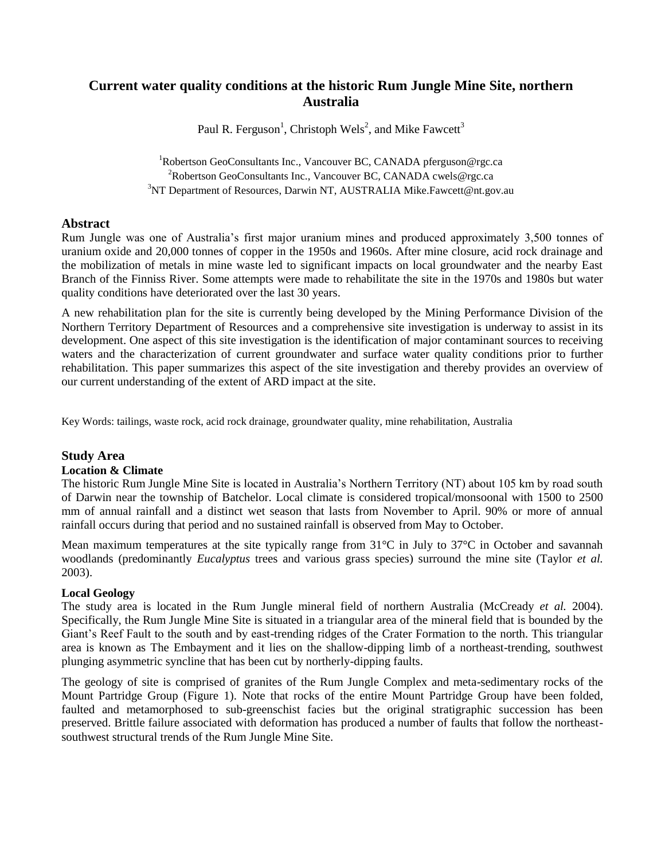# **Current water quality conditions at the historic Rum Jungle Mine Site, northern Australia**

Paul R. Ferguson<sup>1</sup>, Christoph Wels<sup>2</sup>, and Mike Fawcett<sup>3</sup>

<sup>1</sup>Robertson GeoConsultants Inc., Vancouver BC, CANADA pferguson@rgc.ca <sup>2</sup>Robertson GeoConsultants Inc., Vancouver BC, CANADA cwels@rgc.ca <sup>3</sup>NT Department of Resources, Darwin NT, AUSTRALIA Mike.Fawcett@nt.gov.au

## **Abstract**

Rum Jungle was one of Australia's first major uranium mines and produced approximately 3,500 tonnes of uranium oxide and 20,000 tonnes of copper in the 1950s and 1960s. After mine closure, acid rock drainage and the mobilization of metals in mine waste led to significant impacts on local groundwater and the nearby East Branch of the Finniss River. Some attempts were made to rehabilitate the site in the 1970s and 1980s but water quality conditions have deteriorated over the last 30 years.

A new rehabilitation plan for the site is currently being developed by the Mining Performance Division of the Northern Territory Department of Resources and a comprehensive site investigation is underway to assist in its development. One aspect of this site investigation is the identification of major contaminant sources to receiving waters and the characterization of current groundwater and surface water quality conditions prior to further rehabilitation. This paper summarizes this aspect of the site investigation and thereby provides an overview of our current understanding of the extent of ARD impact at the site.

Key Words: tailings, waste rock, acid rock drainage, groundwater quality, mine rehabilitation, Australia

## **Study Area**

#### **Location & Climate**

The historic Rum Jungle Mine Site is located in Australia's Northern Territory (NT) about 105 km by road south of Darwin near the township of Batchelor. Local climate is considered tropical/monsoonal with 1500 to 2500 mm of annual rainfall and a distinct wet season that lasts from November to April. 90% or more of annual rainfall occurs during that period and no sustained rainfall is observed from May to October.

Mean maximum temperatures at the site typically range from 31°C in July to 37°C in October and savannah woodlands (predominantly *Eucalyptus* trees and various grass species) surround the mine site (Taylor *et al.* 2003).

## **Local Geology**

The study area is located in the Rum Jungle mineral field of northern Australia (McCready *et al.* 2004). Specifically, the Rum Jungle Mine Site is situated in a triangular area of the mineral field that is bounded by the Giant's Reef Fault to the south and by east-trending ridges of the Crater Formation to the north. This triangular area is known as The Embayment and it lies on the shallow-dipping limb of a northeast-trending, southwest plunging asymmetric syncline that has been cut by northerly-dipping faults.

The geology of site is comprised of granites of the Rum Jungle Complex and meta-sedimentary rocks of the Mount Partridge Group (Figure 1). Note that rocks of the entire Mount Partridge Group have been folded, faulted and metamorphosed to sub-greenschist facies but the original stratigraphic succession has been preserved. Brittle failure associated with deformation has produced a number of faults that follow the northeastsouthwest structural trends of the Rum Jungle Mine Site.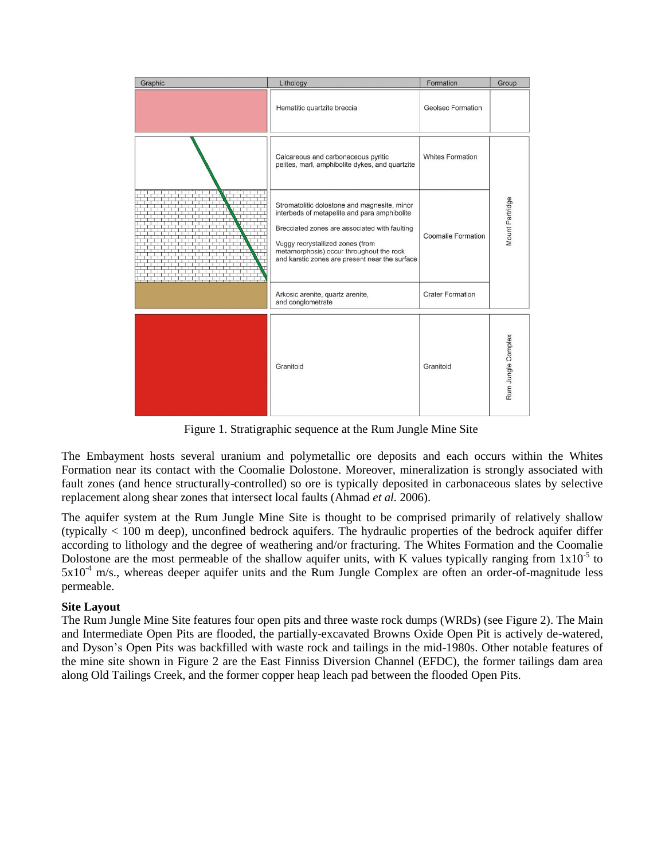| Graphic | Lithology                                                                                                                                                                                                                                                                       | Formation               | Group              |  |
|---------|---------------------------------------------------------------------------------------------------------------------------------------------------------------------------------------------------------------------------------------------------------------------------------|-------------------------|--------------------|--|
|         | Hematitic quartzite breccia                                                                                                                                                                                                                                                     | Geolsec Formation       |                    |  |
|         | Calcareous and carbonaceous pyritic<br>pelites, marl, amphibolite dykes, and quartzite                                                                                                                                                                                          | <b>Whites Formation</b> | Mount Partridge    |  |
|         | Stromatolitic dolostone and magnesite, minor<br>interbeds of metapelite and para amphibolite<br>Brecciated zones are associated with faulting<br>Vuggy recrystallized zones (from<br>metamorphosis) occur throughout the rock<br>and karstic zones are present near the surface | Coomalie Formation      |                    |  |
|         | Arkosic arenite, quartz arenite,<br>and conglometrate                                                                                                                                                                                                                           | <b>Crater Formation</b> |                    |  |
|         | Granitoid                                                                                                                                                                                                                                                                       | Granitoid               | Rum Jungle Complex |  |

Figure 1. Stratigraphic sequence at the Rum Jungle Mine Site

The Embayment hosts several uranium and polymetallic ore deposits and each occurs within the Whites Formation near its contact with the Coomalie Dolostone. Moreover, mineralization is strongly associated with fault zones (and hence structurally-controlled) so ore is typically deposited in carbonaceous slates by selective replacement along shear zones that intersect local faults (Ahmad *et al.* 2006).

The aquifer system at the Rum Jungle Mine Site is thought to be comprised primarily of relatively shallow (typically < 100 m deep), unconfined bedrock aquifers. The hydraulic properties of the bedrock aquifer differ according to lithology and the degree of weathering and/or fracturing. The Whites Formation and the Coomalie Dolostone are the most permeable of the shallow aquifer units, with K values typically ranging from  $1x10^{-5}$  to  $5x10^{-4}$  m/s., whereas deeper aquifer units and the Rum Jungle Complex are often an order-of-magnitude less permeable.

## **Site Layout**

The Rum Jungle Mine Site features four open pits and three waste rock dumps (WRDs) (see Figure 2). The Main and Intermediate Open Pits are flooded, the partially-excavated Browns Oxide Open Pit is actively de-watered, and Dyson's Open Pits was backfilled with waste rock and tailings in the mid-1980s. Other notable features of the mine site shown in Figure 2 are the East Finniss Diversion Channel (EFDC), the former tailings dam area along Old Tailings Creek, and the former copper heap leach pad between the flooded Open Pits.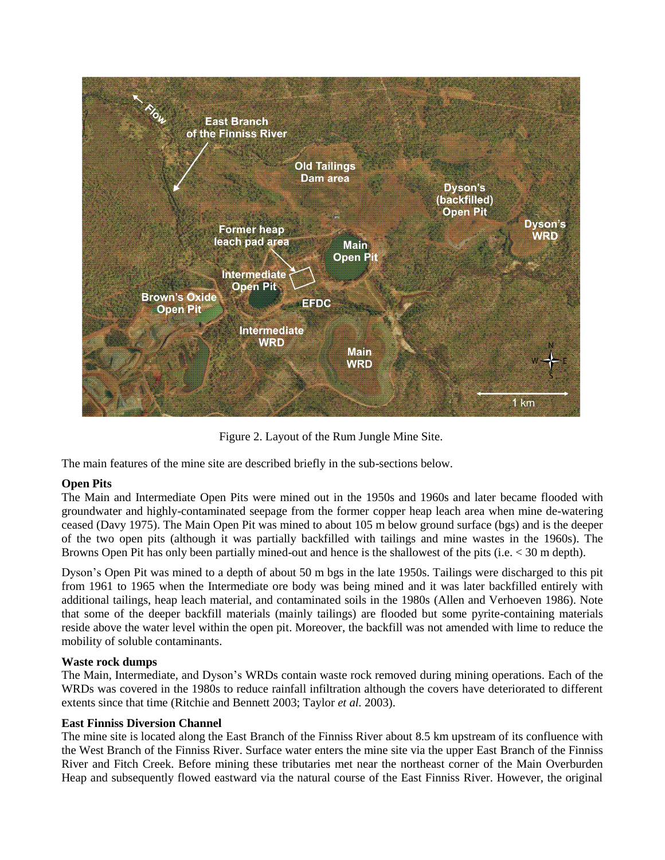

Figure 2. Layout of the Rum Jungle Mine Site.

The main features of the mine site are described briefly in the sub-sections below.

## **Open Pits**

The Main and Intermediate Open Pits were mined out in the 1950s and 1960s and later became flooded with groundwater and highly-contaminated seepage from the former copper heap leach area when mine de-watering ceased (Davy 1975). The Main Open Pit was mined to about 105 m below ground surface (bgs) and is the deeper of the two open pits (although it was partially backfilled with tailings and mine wastes in the 1960s). The Browns Open Pit has only been partially mined-out and hence is the shallowest of the pits (i.e. < 30 m depth).

Dyson's Open Pit was mined to a depth of about 50 m bgs in the late 1950s. Tailings were discharged to this pit from 1961 to 1965 when the Intermediate ore body was being mined and it was later backfilled entirely with additional tailings, heap leach material, and contaminated soils in the 1980s (Allen and Verhoeven 1986). Note that some of the deeper backfill materials (mainly tailings) are flooded but some pyrite-containing materials reside above the water level within the open pit. Moreover, the backfill was not amended with lime to reduce the mobility of soluble contaminants.

## **Waste rock dumps**

The Main, Intermediate, and Dyson's WRDs contain waste rock removed during mining operations. Each of the WRDs was covered in the 1980s to reduce rainfall infiltration although the covers have deteriorated to different extents since that time (Ritchie and Bennett 2003; Taylor *et al.* 2003).

## **East Finniss Diversion Channel**

The mine site is located along the East Branch of the Finniss River about 8.5 km upstream of its confluence with the West Branch of the Finniss River. Surface water enters the mine site via the upper East Branch of the Finniss River and Fitch Creek. Before mining these tributaries met near the northeast corner of the Main Overburden Heap and subsequently flowed eastward via the natural course of the East Finniss River. However, the original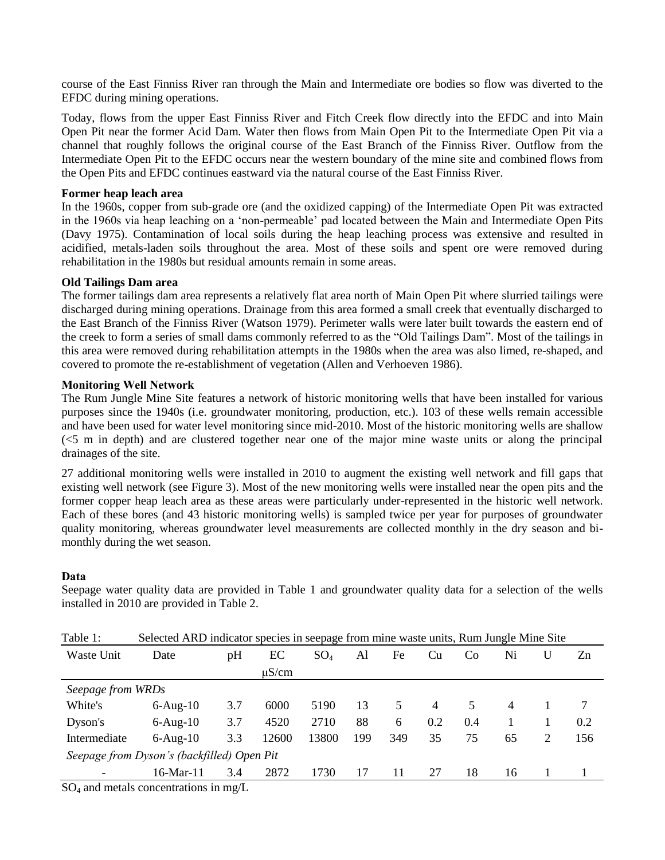course of the East Finniss River ran through the Main and Intermediate ore bodies so flow was diverted to the EFDC during mining operations.

Today, flows from the upper East Finniss River and Fitch Creek flow directly into the EFDC and into Main Open Pit near the former Acid Dam. Water then flows from Main Open Pit to the Intermediate Open Pit via a channel that roughly follows the original course of the East Branch of the Finniss River. Outflow from the Intermediate Open Pit to the EFDC occurs near the western boundary of the mine site and combined flows from the Open Pits and EFDC continues eastward via the natural course of the East Finniss River.

### **Former heap leach area**

In the 1960s, copper from sub-grade ore (and the oxidized capping) of the Intermediate Open Pit was extracted in the 1960s via heap leaching on a 'non-permeable' pad located between the Main and Intermediate Open Pits (Davy 1975). Contamination of local soils during the heap leaching process was extensive and resulted in acidified, metals-laden soils throughout the area. Most of these soils and spent ore were removed during rehabilitation in the 1980s but residual amounts remain in some areas.

## **Old Tailings Dam area**

The former tailings dam area represents a relatively flat area north of Main Open Pit where slurried tailings were discharged during mining operations. Drainage from this area formed a small creek that eventually discharged to the East Branch of the Finniss River (Watson 1979). Perimeter walls were later built towards the eastern end of the creek to form a series of small dams commonly referred to as the "Old Tailings Dam". Most of the tailings in this area were removed during rehabilitation attempts in the 1980s when the area was also limed, re-shaped, and covered to promote the re-establishment of vegetation (Allen and Verhoeven 1986).

### **Monitoring Well Network**

The Rum Jungle Mine Site features a network of historic monitoring wells that have been installed for various purposes since the 1940s (i.e. groundwater monitoring, production, etc.). 103 of these wells remain accessible and have been used for water level monitoring since mid-2010. Most of the historic monitoring wells are shallow (<5 m in depth) and are clustered together near one of the major mine waste units or along the principal drainages of the site.

27 additional monitoring wells were installed in 2010 to augment the existing well network and fill gaps that existing well network (see Figure 3). Most of the new monitoring wells were installed near the open pits and the former copper heap leach area as these areas were particularly under-represented in the historic well network. Each of these bores (and 43 historic monitoring wells) is sampled twice per year for purposes of groundwater quality monitoring, whereas groundwater level measurements are collected monthly in the dry season and bimonthly during the wet season.

## **Data**

| Table 1:                                                                                                                                | Selected ARD indicator species in seepage from mine waste units, Rum Jungle Mine Site |     |            |        |     |     |     |     |                |   |     |
|-----------------------------------------------------------------------------------------------------------------------------------------|---------------------------------------------------------------------------------------|-----|------------|--------|-----|-----|-----|-----|----------------|---|-----|
| Waste Unit                                                                                                                              | Date                                                                                  | pH  | EС         | $SO_4$ | Al  | Fe  | Cu  | Co  | Ni             |   | Zn  |
|                                                                                                                                         |                                                                                       |     | $\mu$ S/cm |        |     |     |     |     |                |   |     |
| Seepage from WRDs                                                                                                                       |                                                                                       |     |            |        |     |     |     |     |                |   |     |
| White's                                                                                                                                 | $6-Aug-10$                                                                            | 3.7 | 6000       | 5190   | 13  | 5   | 4   | 5   | $\overline{4}$ |   | 7   |
| Dyson's                                                                                                                                 | $6-Aug-10$                                                                            | 3.7 | 4520       | 2710   | 88  | 6   | 0.2 | 0.4 |                |   | 0.2 |
| Intermediate                                                                                                                            | $6-Aug-10$                                                                            | 3.3 | 12600      | 13800  | 199 | 349 | 35  | 75  | 65             | 2 | 156 |
| Seepage from Dyson's (backfilled) Open Pit                                                                                              |                                                                                       |     |            |        |     |     |     |     |                |   |     |
|                                                                                                                                         | 16-Mar-11                                                                             | 3.4 | 2872       | 1730   | 17  | 11  | 27  | 18  | 16             |   |     |
| $\mathcal{A} \cap \mathcal{A}$ and $\mathcal{A} \cap \mathcal{A}$ and $\mathcal{A} \cap \mathcal{A}$ and $\mathcal{A} \cap \mathcal{A}$ |                                                                                       |     |            |        |     |     |     |     |                |   |     |

Seepage water quality data are provided in Table 1 and groundwater quality data for a selection of the wells installed in 2010 are provided in Table 2.

 $SO_4$  and metals concentrations in mg/L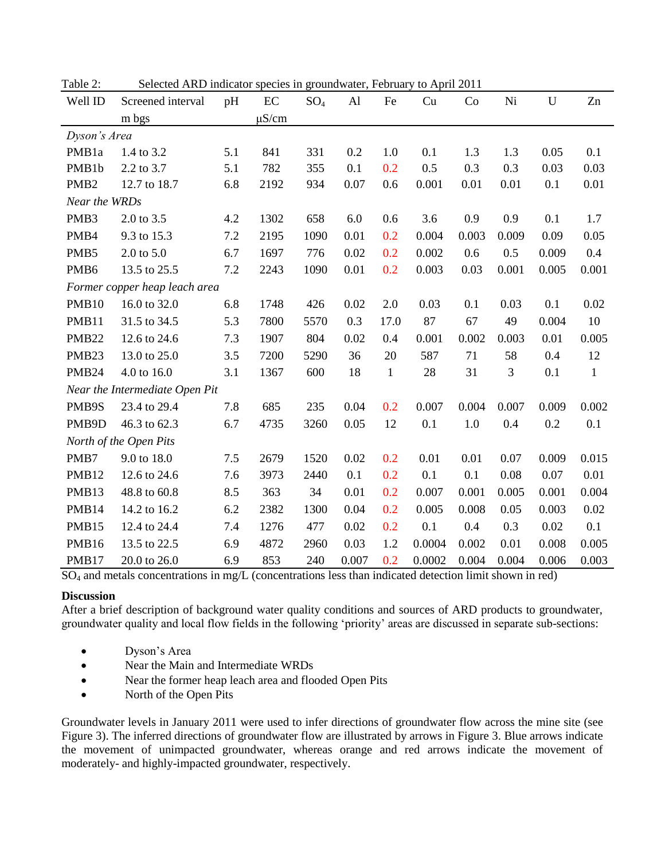|                   | $\frac{1}{2}$                  |     |            |        |      |              | $1.1$ $\mu$ $\mu$ $\mu$ $\mu$ $\sigma$ $\mu$ $\mu$ |       |       |       |              |
|-------------------|--------------------------------|-----|------------|--------|------|--------------|----------------------------------------------------|-------|-------|-------|--------------|
| Well ID           | Screened interval              | pH  | $\rm EC$   | $SO_4$ | Al   | Fe           | Cu                                                 | Co    | Ni    | U     | Zn           |
|                   | m bgs                          |     | $\mu$ S/cm |        |      |              |                                                    |       |       |       |              |
| Dyson's Area      |                                |     |            |        |      |              |                                                    |       |       |       |              |
| PMB1a             | 1.4 to 3.2                     | 5.1 | 841        | 331    | 0.2  | 1.0          | 0.1                                                | 1.3   | 1.3   | 0.05  | 0.1          |
| PMB1b             | 2.2 to 3.7                     | 5.1 | 782        | 355    | 0.1  | 0.2          | 0.5                                                | 0.3   | 0.3   | 0.03  | 0.03         |
| PMB <sub>2</sub>  | 12.7 to 18.7                   | 6.8 | 2192       | 934    | 0.07 | 0.6          | 0.001                                              | 0.01  | 0.01  | 0.1   | 0.01         |
| Near the WRDs     |                                |     |            |        |      |              |                                                    |       |       |       |              |
| PMB3              | 2.0 to 3.5                     | 4.2 | 1302       | 658    | 6.0  | 0.6          | 3.6                                                | 0.9   | 0.9   | 0.1   | 1.7          |
| PMB4              | 9.3 to 15.3                    | 7.2 | 2195       | 1090   | 0.01 | 0.2          | 0.004                                              | 0.003 | 0.009 | 0.09  | 0.05         |
| PMB5              | $2.0 \text{ to } 5.0$          | 6.7 | 1697       | 776    | 0.02 | 0.2          | 0.002                                              | 0.6   | 0.5   | 0.009 | 0.4          |
| PMB <sub>6</sub>  | 13.5 to 25.5                   | 7.2 | 2243       | 1090   | 0.01 | 0.2          | 0.003                                              | 0.03  | 0.001 | 0.005 | 0.001        |
|                   | Former copper heap leach area  |     |            |        |      |              |                                                    |       |       |       |              |
| PMB <sub>10</sub> | 16.0 to 32.0                   | 6.8 | 1748       | 426    | 0.02 | 2.0          | 0.03                                               | 0.1   | 0.03  | 0.1   | 0.02         |
| PMB11             | 31.5 to 34.5                   | 5.3 | 7800       | 5570   | 0.3  | 17.0         | 87                                                 | 67    | 49    | 0.004 | 10           |
| <b>PMB22</b>      | 12.6 to 24.6                   | 7.3 | 1907       | 804    | 0.02 | 0.4          | 0.001                                              | 0.002 | 0.003 | 0.01  | 0.005        |
| PMB <sub>23</sub> | 13.0 to 25.0                   | 3.5 | 7200       | 5290   | 36   | 20           | 587                                                | 71    | 58    | 0.4   | 12           |
| PMB <sub>24</sub> | 4.0 to 16.0                    | 3.1 | 1367       | 600    | 18   | $\mathbf{1}$ | 28                                                 | 31    | 3     | 0.1   | $\mathbf{1}$ |
|                   | Near the Intermediate Open Pit |     |            |        |      |              |                                                    |       |       |       |              |
| PMB9S             | 23.4 to 29.4                   | 7.8 | 685        | 235    | 0.04 | 0.2          | 0.007                                              | 0.004 | 0.007 | 0.009 | 0.002        |
| PMB9D             | 46.3 to 62.3                   | 6.7 | 4735       | 3260   | 0.05 | 12           | 0.1                                                | 1.0   | 0.4   | 0.2   | 0.1          |
|                   | North of the Open Pits         |     |            |        |      |              |                                                    |       |       |       |              |
| PMB7              | 9.0 to 18.0                    | 7.5 | 2679       | 1520   | 0.02 | 0.2          | 0.01                                               | 0.01  | 0.07  | 0.009 | 0.015        |
| PMB <sub>12</sub> | 12.6 to 24.6                   | 7.6 | 3973       | 2440   | 0.1  | 0.2          | 0.1                                                | 0.1   | 0.08  | 0.07  | 0.01         |
| PMB13             | 48.8 to 60.8                   | 8.5 | 363        | 34     | 0.01 | 0.2          | 0.007                                              | 0.001 | 0.005 | 0.001 | 0.004        |
| PMB14             | 14.2 to 16.2                   | 6.2 | 2382       | 1300   | 0.04 | 0.2          | 0.005                                              | 0.008 | 0.05  | 0.003 | 0.02         |

Table 2: Selected ARD indicator species in groundwater, February to April 2011

SO<sup>4</sup> and metals concentrations in mg/L (concentrations less than indicated detection limit shown in red)

#### **Discussion**

After a brief description of background water quality conditions and sources of ARD products to groundwater, groundwater quality and local flow fields in the following 'priority' areas are discussed in separate sub-sections:

PMB15 12.4 to 24.4 7.4 1276 477 0.02 0.2 0.1 0.4 0.3 0.02 0.1 PMB16 13.5 to 22.5 6.9 4872 2960 0.03 1.2 0.0004 0.002 0.01 0.008 0.005 PMB17 20.0 to 26.0 6.9 853 240 0.007 0.2 0.0002 0.004 0.004 0.006 0.003

- Dyson's Area
- Near the Main and Intermediate WRDs
- Near the former heap leach area and flooded Open Pits
- North of the Open Pits

Groundwater levels in January 2011 were used to infer directions of groundwater flow across the mine site (see Figure 3). The inferred directions of groundwater flow are illustrated by arrows in Figure 3. Blue arrows indicate the movement of unimpacted groundwater, whereas orange and red arrows indicate the movement of moderately- and highly-impacted groundwater, respectively.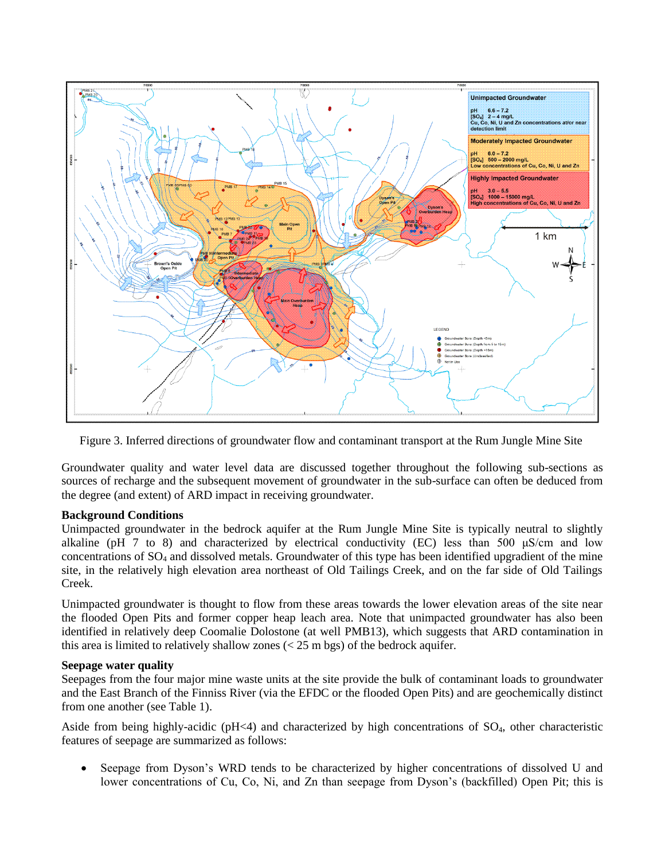

Figure 3. Inferred directions of groundwater flow and contaminant transport at the Rum Jungle Mine Site

Groundwater quality and water level data are discussed together throughout the following sub-sections as sources of recharge and the subsequent movement of groundwater in the sub-surface can often be deduced from the degree (and extent) of ARD impact in receiving groundwater.

## **Background Conditions**

Unimpacted groundwater in the bedrock aquifer at the Rum Jungle Mine Site is typically neutral to slightly alkaline (pH 7 to 8) and characterized by electrical conductivity (EC) less than 500 μS/cm and low concentrations of  $SO<sub>4</sub>$  and dissolved metals. Groundwater of this type has been identified upgradient of the mine site, in the relatively high elevation area northeast of Old Tailings Creek, and on the far side of Old Tailings Creek.

Unimpacted groundwater is thought to flow from these areas towards the lower elevation areas of the site near the flooded Open Pits and former copper heap leach area. Note that unimpacted groundwater has also been identified in relatively deep Coomalie Dolostone (at well PMB13), which suggests that ARD contamination in this area is limited to relatively shallow zones  $(< 25 \text{ m bgs})$  of the bedrock aquifer.

#### **Seepage water quality**

Seepages from the four major mine waste units at the site provide the bulk of contaminant loads to groundwater and the East Branch of the Finniss River (via the EFDC or the flooded Open Pits) and are geochemically distinct from one another (see Table 1).

Aside from being highly-acidic ( $pH<4$ ) and characterized by high concentrations of  $SO_4$ , other characteristic features of seepage are summarized as follows:

 Seepage from Dyson's WRD tends to be characterized by higher concentrations of dissolved U and lower concentrations of Cu, Co, Ni, and Zn than seepage from Dyson's (backfilled) Open Pit; this is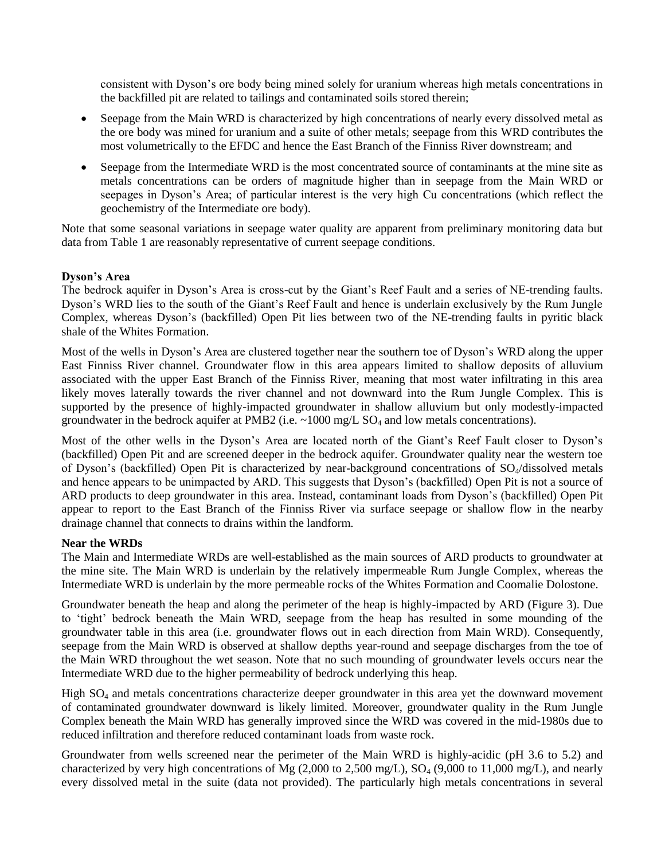consistent with Dyson's ore body being mined solely for uranium whereas high metals concentrations in the backfilled pit are related to tailings and contaminated soils stored therein;

- Seepage from the Main WRD is characterized by high concentrations of nearly every dissolved metal as the ore body was mined for uranium and a suite of other metals; seepage from this WRD contributes the most volumetrically to the EFDC and hence the East Branch of the Finniss River downstream; and
- Seepage from the Intermediate WRD is the most concentrated source of contaminants at the mine site as metals concentrations can be orders of magnitude higher than in seepage from the Main WRD or seepages in Dyson's Area; of particular interest is the very high Cu concentrations (which reflect the geochemistry of the Intermediate ore body).

Note that some seasonal variations in seepage water quality are apparent from preliminary monitoring data but data from Table 1 are reasonably representative of current seepage conditions.

## **Dyson's Area**

The bedrock aquifer in Dyson's Area is cross-cut by the Giant's Reef Fault and a series of NE-trending faults. Dyson's WRD lies to the south of the Giant's Reef Fault and hence is underlain exclusively by the Rum Jungle Complex, whereas Dyson's (backfilled) Open Pit lies between two of the NE-trending faults in pyritic black shale of the Whites Formation.

Most of the wells in Dyson's Area are clustered together near the southern toe of Dyson's WRD along the upper East Finniss River channel. Groundwater flow in this area appears limited to shallow deposits of alluvium associated with the upper East Branch of the Finniss River, meaning that most water infiltrating in this area likely moves laterally towards the river channel and not downward into the Rum Jungle Complex. This is supported by the presence of highly-impacted groundwater in shallow alluvium but only modestly-impacted groundwater in the bedrock aquifer at PMB2 (i.e.  $\sim$ 1000 mg/L SO<sub>4</sub> and low metals concentrations).

Most of the other wells in the Dyson's Area are located north of the Giant's Reef Fault closer to Dyson's (backfilled) Open Pit and are screened deeper in the bedrock aquifer. Groundwater quality near the western toe of Dyson's (backfilled) Open Pit is characterized by near-background concentrations of SO<sub>4</sub>/dissolved metals and hence appears to be unimpacted by ARD. This suggests that Dyson's (backfilled) Open Pit is not a source of ARD products to deep groundwater in this area. Instead, contaminant loads from Dyson's (backfilled) Open Pit appear to report to the East Branch of the Finniss River via surface seepage or shallow flow in the nearby drainage channel that connects to drains within the landform.

#### **Near the WRDs**

The Main and Intermediate WRDs are well-established as the main sources of ARD products to groundwater at the mine site. The Main WRD is underlain by the relatively impermeable Rum Jungle Complex, whereas the Intermediate WRD is underlain by the more permeable rocks of the Whites Formation and Coomalie Dolostone.

Groundwater beneath the heap and along the perimeter of the heap is highly-impacted by ARD (Figure 3). Due to 'tight' bedrock beneath the Main WRD, seepage from the heap has resulted in some mounding of the groundwater table in this area (i.e. groundwater flows out in each direction from Main WRD). Consequently, seepage from the Main WRD is observed at shallow depths year-round and seepage discharges from the toe of the Main WRD throughout the wet season. Note that no such mounding of groundwater levels occurs near the Intermediate WRD due to the higher permeability of bedrock underlying this heap.

High  $SO<sub>4</sub>$  and metals concentrations characterize deeper groundwater in this area yet the downward movement of contaminated groundwater downward is likely limited. Moreover, groundwater quality in the Rum Jungle Complex beneath the Main WRD has generally improved since the WRD was covered in the mid-1980s due to reduced infiltration and therefore reduced contaminant loads from waste rock.

Groundwater from wells screened near the perimeter of the Main WRD is highly-acidic (pH 3.6 to 5.2) and characterized by very high concentrations of Mg  $(2,000 \text{ to } 2,500 \text{ mg/L})$ , SO<sub>4</sub>  $(9,000 \text{ to } 11,000 \text{ mg/L})$ , and nearly every dissolved metal in the suite (data not provided). The particularly high metals concentrations in several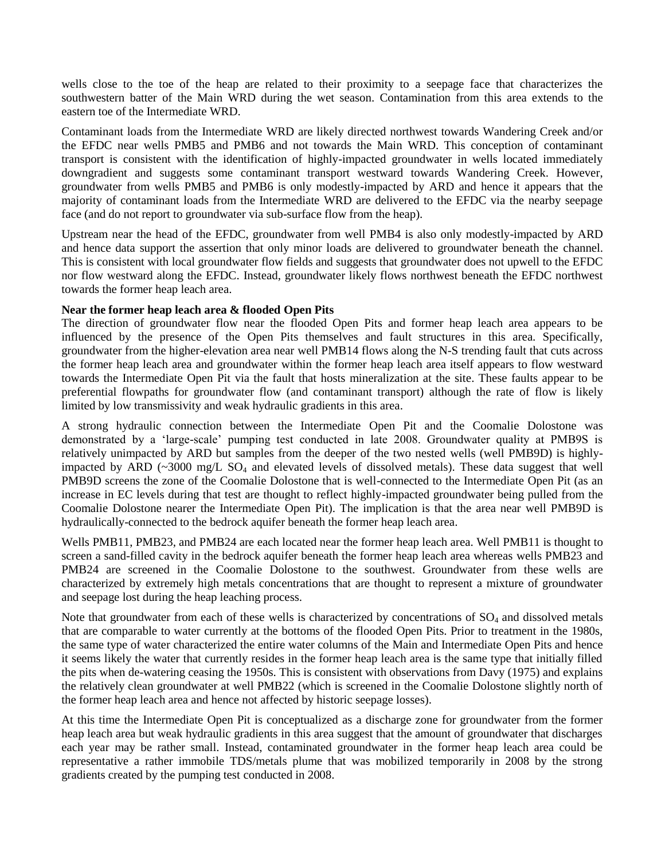wells close to the toe of the heap are related to their proximity to a seepage face that characterizes the southwestern batter of the Main WRD during the wet season. Contamination from this area extends to the eastern toe of the Intermediate WRD.

Contaminant loads from the Intermediate WRD are likely directed northwest towards Wandering Creek and/or the EFDC near wells PMB5 and PMB6 and not towards the Main WRD. This conception of contaminant transport is consistent with the identification of highly-impacted groundwater in wells located immediately downgradient and suggests some contaminant transport westward towards Wandering Creek. However, groundwater from wells PMB5 and PMB6 is only modestly-impacted by ARD and hence it appears that the majority of contaminant loads from the Intermediate WRD are delivered to the EFDC via the nearby seepage face (and do not report to groundwater via sub-surface flow from the heap).

Upstream near the head of the EFDC, groundwater from well PMB4 is also only modestly-impacted by ARD and hence data support the assertion that only minor loads are delivered to groundwater beneath the channel. This is consistent with local groundwater flow fields and suggests that groundwater does not upwell to the EFDC nor flow westward along the EFDC. Instead, groundwater likely flows northwest beneath the EFDC northwest towards the former heap leach area.

### **Near the former heap leach area & flooded Open Pits**

The direction of groundwater flow near the flooded Open Pits and former heap leach area appears to be influenced by the presence of the Open Pits themselves and fault structures in this area. Specifically, groundwater from the higher-elevation area near well PMB14 flows along the N-S trending fault that cuts across the former heap leach area and groundwater within the former heap leach area itself appears to flow westward towards the Intermediate Open Pit via the fault that hosts mineralization at the site. These faults appear to be preferential flowpaths for groundwater flow (and contaminant transport) although the rate of flow is likely limited by low transmissivity and weak hydraulic gradients in this area.

A strong hydraulic connection between the Intermediate Open Pit and the Coomalie Dolostone was demonstrated by a 'large-scale' pumping test conducted in late 2008. Groundwater quality at PMB9S is relatively unimpacted by ARD but samples from the deeper of the two nested wells (well PMB9D) is highlyimpacted by ARD ( $\sim$ 3000 mg/L SO<sub>4</sub> and elevated levels of dissolved metals). These data suggest that well PMB9D screens the zone of the Coomalie Dolostone that is well-connected to the Intermediate Open Pit (as an increase in EC levels during that test are thought to reflect highly-impacted groundwater being pulled from the Coomalie Dolostone nearer the Intermediate Open Pit). The implication is that the area near well PMB9D is hydraulically-connected to the bedrock aquifer beneath the former heap leach area.

Wells PMB11, PMB23, and PMB24 are each located near the former heap leach area. Well PMB11 is thought to screen a sand-filled cavity in the bedrock aquifer beneath the former heap leach area whereas wells PMB23 and PMB24 are screened in the Coomalie Dolostone to the southwest. Groundwater from these wells are characterized by extremely high metals concentrations that are thought to represent a mixture of groundwater and seepage lost during the heap leaching process.

Note that groundwater from each of these wells is characterized by concentrations of  $SO<sub>4</sub>$  and dissolved metals that are comparable to water currently at the bottoms of the flooded Open Pits. Prior to treatment in the 1980s, the same type of water characterized the entire water columns of the Main and Intermediate Open Pits and hence it seems likely the water that currently resides in the former heap leach area is the same type that initially filled the pits when de-watering ceasing the 1950s. This is consistent with observations from Davy (1975) and explains the relatively clean groundwater at well PMB22 (which is screened in the Coomalie Dolostone slightly north of the former heap leach area and hence not affected by historic seepage losses).

At this time the Intermediate Open Pit is conceptualized as a discharge zone for groundwater from the former heap leach area but weak hydraulic gradients in this area suggest that the amount of groundwater that discharges each year may be rather small. Instead, contaminated groundwater in the former heap leach area could be representative a rather immobile TDS/metals plume that was mobilized temporarily in 2008 by the strong gradients created by the pumping test conducted in 2008.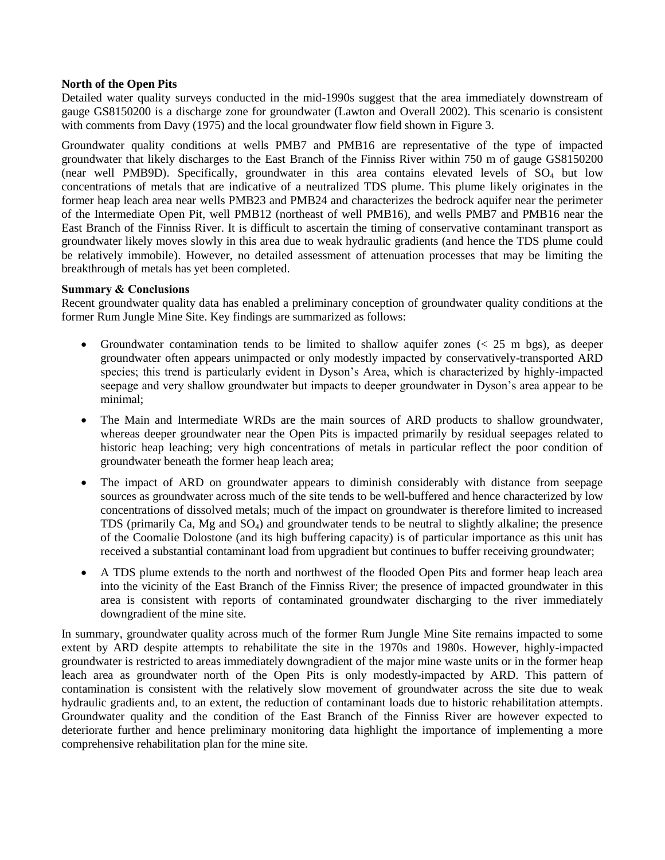### **North of the Open Pits**

Detailed water quality surveys conducted in the mid-1990s suggest that the area immediately downstream of gauge GS8150200 is a discharge zone for groundwater (Lawton and Overall 2002). This scenario is consistent with comments from Davy (1975) and the local groundwater flow field shown in Figure 3.

Groundwater quality conditions at wells PMB7 and PMB16 are representative of the type of impacted groundwater that likely discharges to the East Branch of the Finniss River within 750 m of gauge GS8150200 (near well PMB9D). Specifically, groundwater in this area contains elevated levels of  $SO_4$  but low concentrations of metals that are indicative of a neutralized TDS plume. This plume likely originates in the former heap leach area near wells PMB23 and PMB24 and characterizes the bedrock aquifer near the perimeter of the Intermediate Open Pit, well PMB12 (northeast of well PMB16), and wells PMB7 and PMB16 near the East Branch of the Finniss River. It is difficult to ascertain the timing of conservative contaminant transport as groundwater likely moves slowly in this area due to weak hydraulic gradients (and hence the TDS plume could be relatively immobile). However, no detailed assessment of attenuation processes that may be limiting the breakthrough of metals has yet been completed.

### **Summary & Conclusions**

Recent groundwater quality data has enabled a preliminary conception of groundwater quality conditions at the former Rum Jungle Mine Site. Key findings are summarized as follows:

- Groundwater contamination tends to be limited to shallow aquifer zones  $\langle \leq 25 \text{ m bgs} \rangle$ , as deeper groundwater often appears unimpacted or only modestly impacted by conservatively-transported ARD species; this trend is particularly evident in Dyson's Area, which is characterized by highly-impacted seepage and very shallow groundwater but impacts to deeper groundwater in Dyson's area appear to be minimal;
- The Main and Intermediate WRDs are the main sources of ARD products to shallow groundwater, whereas deeper groundwater near the Open Pits is impacted primarily by residual seepages related to historic heap leaching; very high concentrations of metals in particular reflect the poor condition of groundwater beneath the former heap leach area;
- The impact of ARD on groundwater appears to diminish considerably with distance from seepage sources as groundwater across much of the site tends to be well-buffered and hence characterized by low concentrations of dissolved metals; much of the impact on groundwater is therefore limited to increased TDS (primarily Ca, Mg and SO4) and groundwater tends to be neutral to slightly alkaline; the presence of the Coomalie Dolostone (and its high buffering capacity) is of particular importance as this unit has received a substantial contaminant load from upgradient but continues to buffer receiving groundwater;
- A TDS plume extends to the north and northwest of the flooded Open Pits and former heap leach area into the vicinity of the East Branch of the Finniss River; the presence of impacted groundwater in this area is consistent with reports of contaminated groundwater discharging to the river immediately downgradient of the mine site.

In summary, groundwater quality across much of the former Rum Jungle Mine Site remains impacted to some extent by ARD despite attempts to rehabilitate the site in the 1970s and 1980s. However, highly-impacted groundwater is restricted to areas immediately downgradient of the major mine waste units or in the former heap leach area as groundwater north of the Open Pits is only modestly-impacted by ARD. This pattern of contamination is consistent with the relatively slow movement of groundwater across the site due to weak hydraulic gradients and, to an extent, the reduction of contaminant loads due to historic rehabilitation attempts. Groundwater quality and the condition of the East Branch of the Finniss River are however expected to deteriorate further and hence preliminary monitoring data highlight the importance of implementing a more comprehensive rehabilitation plan for the mine site.